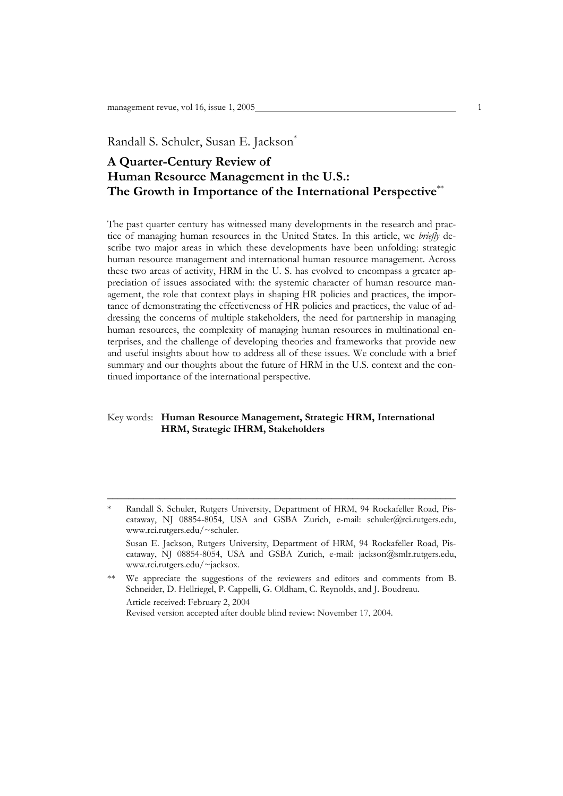## Randall S. Schuler, Susan E. Jackson\*

# **A Quarter-Century Review of Human Resource Management in the U.S.: The Growth in Importance of the International Perspective**\*\*

The past quarter century has witnessed many developments in the research and practice of managing human resources in the United States. In this article, we *briefly* describe two major areas in which these developments have been unfolding: strategic human resource management and international human resource management. Across these two areas of activity, HRM in the U. S. has evolved to encompass a greater appreciation of issues associated with: the systemic character of human resource management, the role that context plays in shaping HR policies and practices, the importance of demonstrating the effectiveness of HR policies and practices, the value of addressing the concerns of multiple stakeholders, the need for partnership in managing human resources, the complexity of managing human resources in multinational enterprises, and the challenge of developing theories and frameworks that provide new and useful insights about how to address all of these issues. We conclude with a brief summary and our thoughts about the future of HRM in the U.S. context and the continued importance of the international perspective.

## Key words: **Human Resource Management, Strategic HRM, International HRM, Strategic IHRM, Stakeholders**

*\_\_\_\_\_\_\_\_\_\_\_\_\_\_\_\_\_\_\_\_\_\_\_\_\_\_\_\_\_\_\_\_\_\_\_\_\_\_\_\_\_\_\_\_\_\_\_\_\_\_\_\_\_\_\_\_\_\_\_\_\_\_\_\_\_\_\_* 

<sup>\*</sup> Randall S. Schuler, Rutgers University, Department of HRM, 94 Rockafeller Road, Piscataway, NJ 08854-8054, USA and GSBA Zurich, e-mail: schuler@rci.rutgers.edu, www.rci.rutgers.edu/~schuler.

Susan E. Jackson, Rutgers University, Department of HRM, 94 Rockafeller Road, Piscataway, NJ 08854-8054, USA and GSBA Zurich, e-mail: jackson@smlr.rutgers.edu, www.rci.rutgers.edu/~jacksox.

<sup>\*\*</sup> We appreciate the suggestions of the reviewers and editors and comments from B. Schneider, D. Hellriegel, P. Cappelli, G. Oldham, C. Reynolds, and J. Boudreau. Article received: February 2, 2004 Revised version accepted after double blind review: November 17, 2004.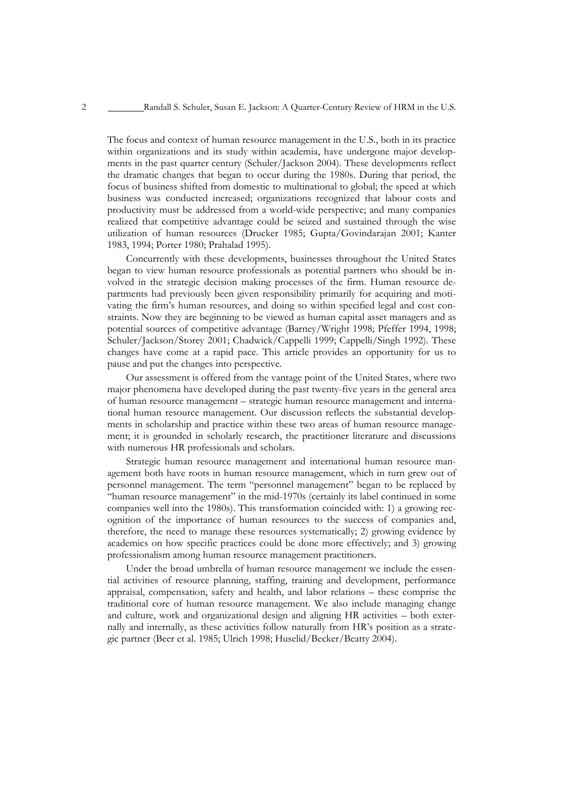The focus and context of human resource management in the U.S., both in its practice within organizations and its study within academia, have undergone major developments in the past quarter century (Schuler/Jackson 2004). These developments reflect the dramatic changes that began to occur during the 1980s. During that period, the focus of business shifted from domestic to multinational to global; the speed at which business was conducted increased; organizations recognized that labour costs and productivity must be addressed from a world-wide perspective; and many companies realized that competitive advantage could be seized and sustained through the wise utilization of human resources (Drucker 1985; Gupta/Govindarajan 2001; Kanter 1983, 1994; Porter 1980; Prahalad 1995).

Concurrently with these developments, businesses throughout the United States began to view human resource professionals as potential partners who should be involved in the strategic decision making processes of the firm. Human resource departments had previously been given responsibility primarily for acquiring and motivating the firm's human resources, and doing so within specified legal and cost constraints. Now they are beginning to be viewed as human capital asset managers and as potential sources of competitive advantage (Barney/Wright 1998; Pfeffer 1994, 1998; Schuler/Jackson/Storey 2001; Chadwick/Cappelli 1999; Cappelli/Singh 1992). These changes have come at a rapid pace. This article provides an opportunity for us to pause and put the changes into perspective.

Our assessment is offered from the vantage point of the United States, where two major phenomena have developed during the past twenty-five years in the general area of human resource management – strategic human resource management and international human resource management. Our discussion reflects the substantial developments in scholarship and practice within these two areas of human resource management; it is grounded in scholarly research, the practitioner literature and discussions with numerous HR professionals and scholars.

Strategic human resource management and international human resource management both have roots in human resource management, which in turn grew out of personnel management. The term "personnel management" began to be replaced by "human resource management" in the mid-1970s (certainly its label continued in some companies well into the 1980s). This transformation coincided with: 1) a growing recognition of the importance of human resources to the success of companies and, therefore, the need to manage these resources systematically; 2) growing evidence by academics on how specific practices could be done more effectively; and 3) growing professionalism among human resource management practitioners.

Under the broad umbrella of human resource management we include the essential activities of resource planning, staffing, training and development, performance appraisal, compensation, safety and health, and labor relations – these comprise the traditional core of human resource management. We also include managing change and culture, work and organizational design and aligning HR activities – both externally and internally, as these activities follow naturally from HR's position as a strategic partner (Beer et al. 1985; Ulrich 1998; Huselid/Becker/Beatty 2004).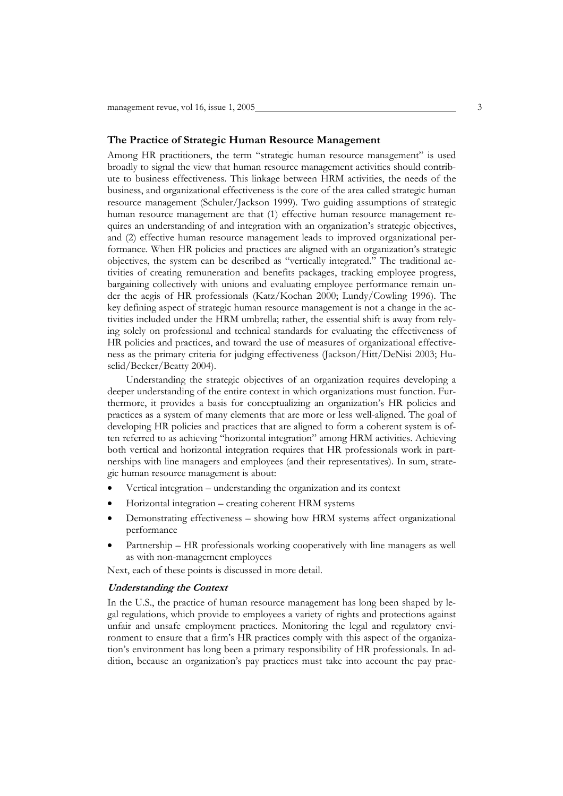## **The Practice of Strategic Human Resource Management**

Among HR practitioners, the term "strategic human resource management" is used broadly to signal the view that human resource management activities should contribute to business effectiveness. This linkage between HRM activities, the needs of the business, and organizational effectiveness is the core of the area called strategic human resource management (Schuler/Jackson 1999). Two guiding assumptions of strategic human resource management are that (1) effective human resource management requires an understanding of and integration with an organization's strategic objectives, and (2) effective human resource management leads to improved organizational performance. When HR policies and practices are aligned with an organization's strategic objectives, the system can be described as "vertically integrated." The traditional activities of creating remuneration and benefits packages, tracking employee progress, bargaining collectively with unions and evaluating employee performance remain under the aegis of HR professionals (Katz/Kochan 2000; Lundy/Cowling 1996). The key defining aspect of strategic human resource management is not a change in the activities included under the HRM umbrella; rather, the essential shift is away from relying solely on professional and technical standards for evaluating the effectiveness of HR policies and practices, and toward the use of measures of organizational effectiveness as the primary criteria for judging effectiveness (Jackson/Hitt/DeNisi 2003; Huselid/Becker/Beatty 2004).

Understanding the strategic objectives of an organization requires developing a deeper understanding of the entire context in which organizations must function. Furthermore, it provides a basis for conceptualizing an organization's HR policies and practices as a system of many elements that are more or less well-aligned. The goal of developing HR policies and practices that are aligned to form a coherent system is often referred to as achieving "horizontal integration" among HRM activities. Achieving both vertical and horizontal integration requires that HR professionals work in partnerships with line managers and employees (and their representatives). In sum, strategic human resource management is about:

- Vertical integration understanding the organization and its context
- Horizontal integration creating coherent HRM systems
- Demonstrating effectiveness showing how HRM systems affect organizational performance
- Partnership HR professionals working cooperatively with line managers as well as with non-management employees

Next, each of these points is discussed in more detail.

#### **Understanding the Context**

In the U.S., the practice of human resource management has long been shaped by legal regulations, which provide to employees a variety of rights and protections against unfair and unsafe employment practices. Monitoring the legal and regulatory environment to ensure that a firm's HR practices comply with this aspect of the organization's environment has long been a primary responsibility of HR professionals. In addition, because an organization's pay practices must take into account the pay prac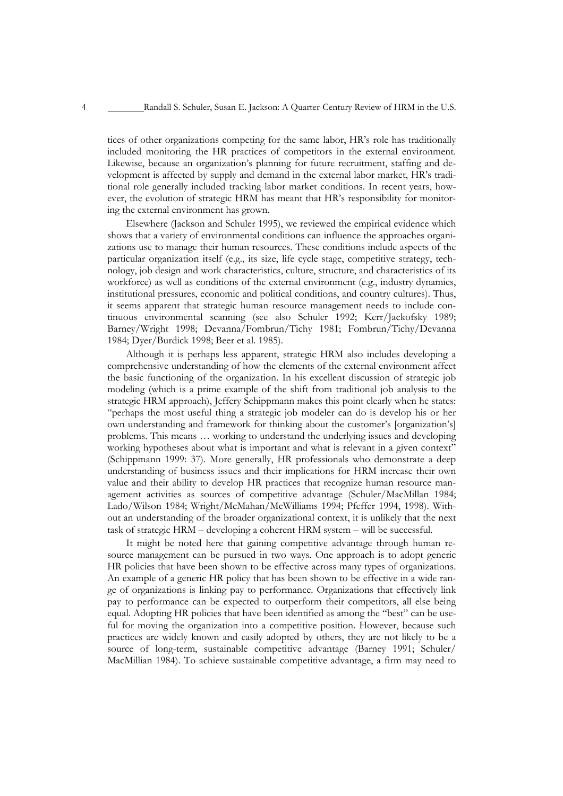tices of other organizations competing for the same labor, HR's role has traditionally included monitoring the HR practices of competitors in the external environment. Likewise, because an organization's planning for future recruitment, staffing and development is affected by supply and demand in the external labor market, HR's traditional role generally included tracking labor market conditions. In recent years, however, the evolution of strategic HRM has meant that HR's responsibility for monitoring the external environment has grown.

Elsewhere (Jackson and Schuler 1995), we reviewed the empirical evidence which shows that a variety of environmental conditions can influence the approaches organizations use to manage their human resources. These conditions include aspects of the particular organization itself (e.g., its size, life cycle stage, competitive strategy, technology, job design and work characteristics, culture, structure, and characteristics of its workforce) as well as conditions of the external environment (e.g., industry dynamics, institutional pressures, economic and political conditions, and country cultures). Thus, it seems apparent that strategic human resource management needs to include continuous environmental scanning (see also Schuler 1992; Kerr/Jackofsky 1989; Barney/Wright 1998; Devanna/Fombrun/Tichy 1981; Fombrun/Tichy/Devanna 1984; Dyer/Burdick 1998; Beer et al. 1985).

Although it is perhaps less apparent, strategic HRM also includes developing a comprehensive understanding of how the elements of the external environment affect the basic functioning of the organization. In his excellent discussion of strategic job modeling (which is a prime example of the shift from traditional job analysis to the strategic HRM approach), Jeffery Schippmann makes this point clearly when he states: "perhaps the most useful thing a strategic job modeler can do is develop his or her own understanding and framework for thinking about the customer's [organization's] problems. This means … working to understand the underlying issues and developing working hypotheses about what is important and what is relevant in a given context" (Schippmann 1999: 37). More generally, HR professionals who demonstrate a deep understanding of business issues and their implications for HRM increase their own value and their ability to develop HR practices that recognize human resource management activities as sources of competitive advantage (Schuler/MacMillan 1984; Lado/Wilson 1984; Wright/McMahan/McWilliams 1994; Pfeffer 1994, 1998). Without an understanding of the broader organizational context, it is unlikely that the next task of strategic HRM – developing a coherent HRM system – will be successful.

It might be noted here that gaining competitive advantage through human resource management can be pursued in two ways. One approach is to adopt generic HR policies that have been shown to be effective across many types of organizations. An example of a generic HR policy that has been shown to be effective in a wide range of organizations is linking pay to performance. Organizations that effectively link pay to performance can be expected to outperform their competitors, all else being equal. Adopting HR policies that have been identified as among the "best" can be useful for moving the organization into a competitive position. However, because such practices are widely known and easily adopted by others, they are not likely to be a source of long-term, sustainable competitive advantage (Barney 1991; Schuler/ MacMillian 1984). To achieve sustainable competitive advantage, a firm may need to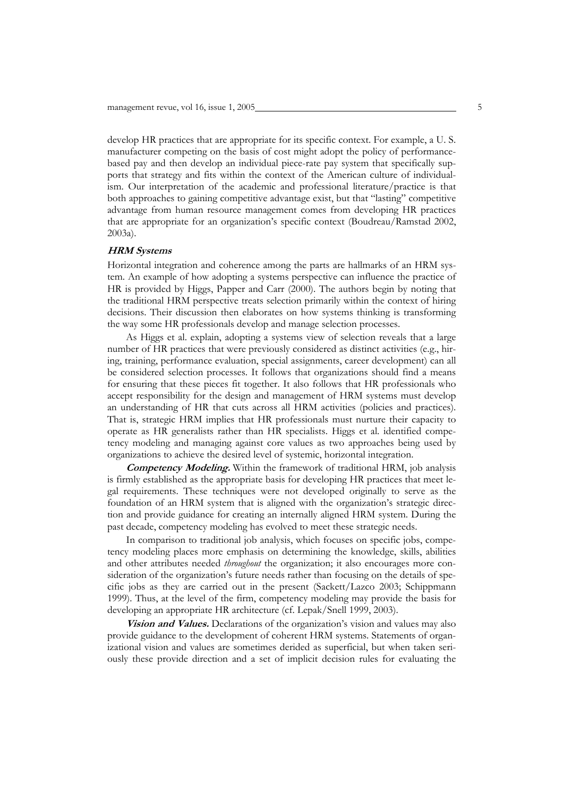develop HR practices that are appropriate for its specific context. For example, a U. S. manufacturer competing on the basis of cost might adopt the policy of performancebased pay and then develop an individual piece-rate pay system that specifically supports that strategy and fits within the context of the American culture of individualism. Our interpretation of the academic and professional literature/practice is that both approaches to gaining competitive advantage exist, but that "lasting" competitive advantage from human resource management comes from developing HR practices that are appropriate for an organization's specific context (Boudreau/Ramstad 2002, 2003a).

#### **HRM Systems**

Horizontal integration and coherence among the parts are hallmarks of an HRM system. An example of how adopting a systems perspective can influence the practice of HR is provided by Higgs, Papper and Carr (2000). The authors begin by noting that the traditional HRM perspective treats selection primarily within the context of hiring decisions. Their discussion then elaborates on how systems thinking is transforming the way some HR professionals develop and manage selection processes.

As Higgs et al. explain, adopting a systems view of selection reveals that a large number of HR practices that were previously considered as distinct activities (e.g., hiring, training, performance evaluation, special assignments, career development) can all be considered selection processes. It follows that organizations should find a means for ensuring that these pieces fit together. It also follows that HR professionals who accept responsibility for the design and management of HRM systems must develop an understanding of HR that cuts across all HRM activities (policies and practices). That is, strategic HRM implies that HR professionals must nurture their capacity to operate as HR generalists rather than HR specialists. Higgs et al. identified competency modeling and managing against core values as two approaches being used by organizations to achieve the desired level of systemic, horizontal integration.

**Competency Modeling.** Within the framework of traditional HRM, job analysis is firmly established as the appropriate basis for developing HR practices that meet legal requirements. These techniques were not developed originally to serve as the foundation of an HRM system that is aligned with the organization's strategic direction and provide guidance for creating an internally aligned HRM system. During the past decade, competency modeling has evolved to meet these strategic needs.

In comparison to traditional job analysis, which focuses on specific jobs, competency modeling places more emphasis on determining the knowledge, skills, abilities and other attributes needed *throughout* the organization; it also encourages more consideration of the organization's future needs rather than focusing on the details of specific jobs as they are carried out in the present (Sackett/Lazco 2003; Schippmann 1999). Thus, at the level of the firm, competency modeling may provide the basis for developing an appropriate HR architecture (cf. Lepak/Snell 1999, 2003).

**Vision and Values.** Declarations of the organization's vision and values may also provide guidance to the development of coherent HRM systems. Statements of organizational vision and values are sometimes derided as superficial, but when taken seriously these provide direction and a set of implicit decision rules for evaluating the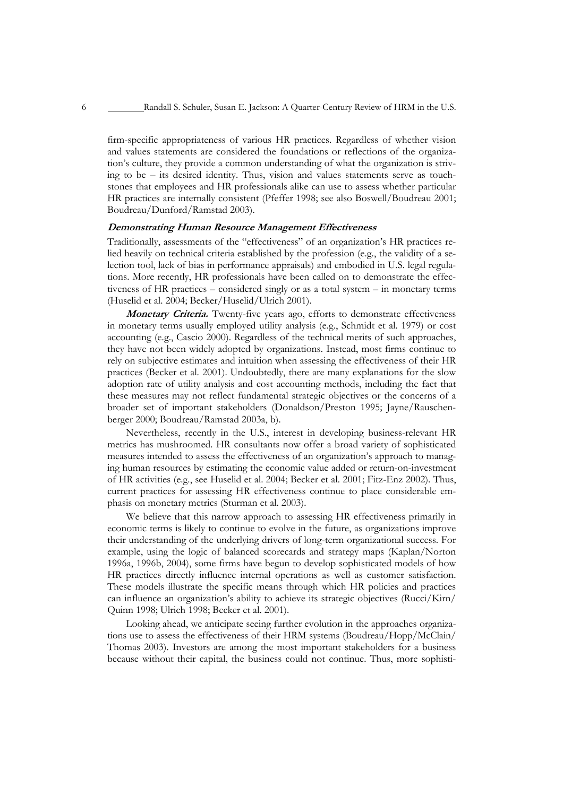firm-specific appropriateness of various HR practices. Regardless of whether vision and values statements are considered the foundations or reflections of the organization's culture, they provide a common understanding of what the organization is striving to be – its desired identity. Thus, vision and values statements serve as touchstones that employees and HR professionals alike can use to assess whether particular HR practices are internally consistent (Pfeffer 1998; see also Boswell/Boudreau 2001; Boudreau/Dunford/Ramstad 2003).

#### **Demonstrating Human Resource Management Effectiveness**

Traditionally, assessments of the "effectiveness" of an organization's HR practices relied heavily on technical criteria established by the profession (e.g., the validity of a selection tool, lack of bias in performance appraisals) and embodied in U.S. legal regulations. More recently, HR professionals have been called on to demonstrate the effectiveness of HR practices – considered singly or as a total system – in monetary terms (Huselid et al. 2004; Becker/Huselid/Ulrich 2001).

**Monetary Criteria.** Twenty-five years ago, efforts to demonstrate effectiveness in monetary terms usually employed utility analysis (e.g., Schmidt et al. 1979) or cost accounting (e.g., Cascio 2000). Regardless of the technical merits of such approaches, they have not been widely adopted by organizations. Instead, most firms continue to rely on subjective estimates and intuition when assessing the effectiveness of their HR practices (Becker et al. 2001). Undoubtedly, there are many explanations for the slow adoption rate of utility analysis and cost accounting methods, including the fact that these measures may not reflect fundamental strategic objectives or the concerns of a broader set of important stakeholders (Donaldson/Preston 1995; Jayne/Rauschenberger 2000; Boudreau/Ramstad 2003a, b).

Nevertheless, recently in the U.S., interest in developing business-relevant HR metrics has mushroomed. HR consultants now offer a broad variety of sophisticated measures intended to assess the effectiveness of an organization's approach to managing human resources by estimating the economic value added or return-on-investment of HR activities (e.g., see Huselid et al. 2004; Becker et al. 2001; Fitz-Enz 2002). Thus, current practices for assessing HR effectiveness continue to place considerable emphasis on monetary metrics (Sturman et al. 2003).

We believe that this narrow approach to assessing HR effectiveness primarily in economic terms is likely to continue to evolve in the future, as organizations improve their understanding of the underlying drivers of long-term organizational success. For example, using the logic of balanced scorecards and strategy maps (Kaplan/Norton 1996a, 1996b, 2004), some firms have begun to develop sophisticated models of how HR practices directly influence internal operations as well as customer satisfaction. These models illustrate the specific means through which HR policies and practices can influence an organization's ability to achieve its strategic objectives (Rucci/Kirn/ Quinn 1998; Ulrich 1998; Becker et al. 2001).

Looking ahead, we anticipate seeing further evolution in the approaches organizations use to assess the effectiveness of their HRM systems (Boudreau/Hopp/McClain/ Thomas 2003). Investors are among the most important stakeholders for a business because without their capital, the business could not continue. Thus, more sophisti-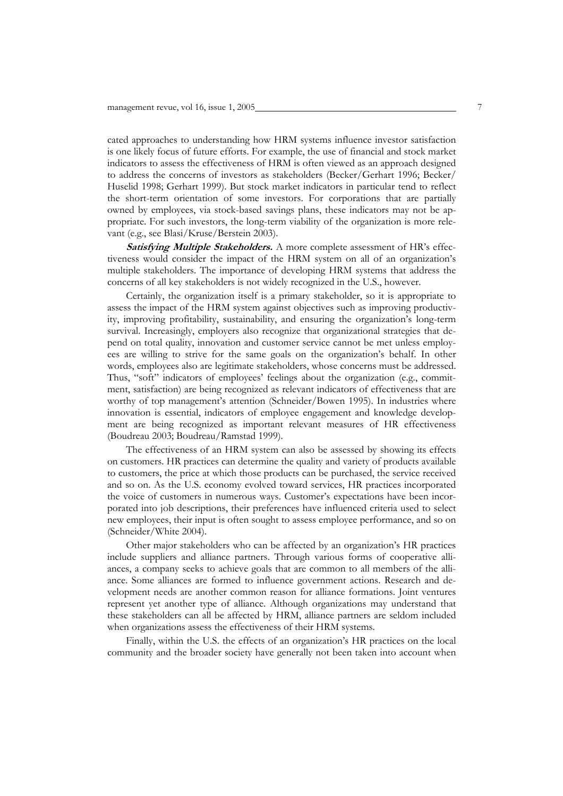cated approaches to understanding how HRM systems influence investor satisfaction is one likely focus of future efforts. For example, the use of financial and stock market indicators to assess the effectiveness of HRM is often viewed as an approach designed to address the concerns of investors as stakeholders (Becker/Gerhart 1996; Becker/ Huselid 1998; Gerhart 1999). But stock market indicators in particular tend to reflect the short-term orientation of some investors. For corporations that are partially owned by employees, via stock-based savings plans, these indicators may not be appropriate. For such investors, the long-term viability of the organization is more relevant (e.g., see Blasi/Kruse/Berstein 2003).

**Satisfying Multiple Stakeholders.** A more complete assessment of HR's effectiveness would consider the impact of the HRM system on all of an organization's multiple stakeholders. The importance of developing HRM systems that address the concerns of all key stakeholders is not widely recognized in the U.S., however.

Certainly, the organization itself is a primary stakeholder, so it is appropriate to assess the impact of the HRM system against objectives such as improving productivity, improving profitability, sustainability, and ensuring the organization's long-term survival. Increasingly, employers also recognize that organizational strategies that depend on total quality, innovation and customer service cannot be met unless employees are willing to strive for the same goals on the organization's behalf. In other words, employees also are legitimate stakeholders, whose concerns must be addressed. Thus, "soft" indicators of employees' feelings about the organization (e.g., commitment, satisfaction) are being recognized as relevant indicators of effectiveness that are worthy of top management's attention (Schneider/Bowen 1995). In industries where innovation is essential, indicators of employee engagement and knowledge development are being recognized as important relevant measures of HR effectiveness (Boudreau 2003; Boudreau/Ramstad 1999).

The effectiveness of an HRM system can also be assessed by showing its effects on customers. HR practices can determine the quality and variety of products available to customers, the price at which those products can be purchased, the service received and so on. As the U.S. economy evolved toward services, HR practices incorporated the voice of customers in numerous ways. Customer's expectations have been incorporated into job descriptions, their preferences have influenced criteria used to select new employees, their input is often sought to assess employee performance, and so on (Schneider/White 2004).

Other major stakeholders who can be affected by an organization's HR practices include suppliers and alliance partners. Through various forms of cooperative alliances, a company seeks to achieve goals that are common to all members of the alliance. Some alliances are formed to influence government actions. Research and development needs are another common reason for alliance formations. Joint ventures represent yet another type of alliance. Although organizations may understand that these stakeholders can all be affected by HRM, alliance partners are seldom included when organizations assess the effectiveness of their HRM systems.

Finally, within the U.S. the effects of an organization's HR practices on the local community and the broader society have generally not been taken into account when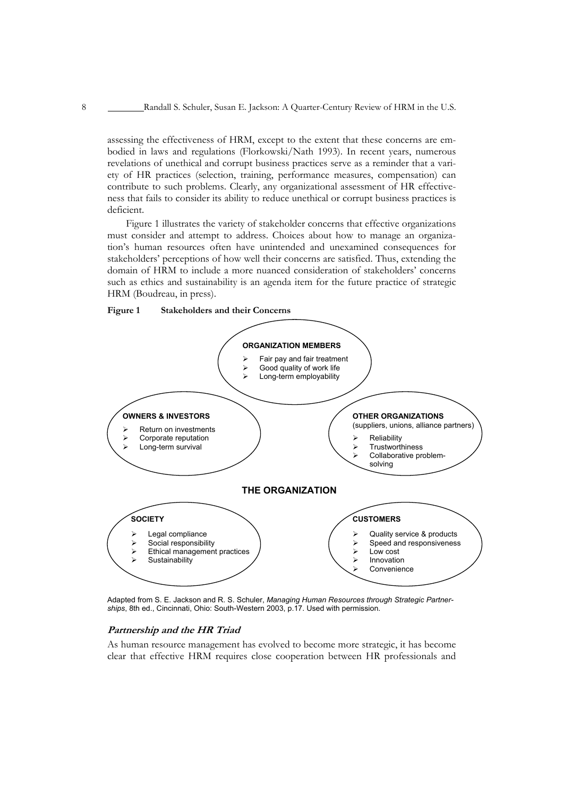assessing the effectiveness of HRM, except to the extent that these concerns are embodied in laws and regulations (Florkowski/Nath 1993). In recent years, numerous revelations of unethical and corrupt business practices serve as a reminder that a variety of HR practices (selection, training, performance measures, compensation) can contribute to such problems. Clearly, any organizational assessment of HR effectiveness that fails to consider its ability to reduce unethical or corrupt business practices is deficient.

Figure 1 illustrates the variety of stakeholder concerns that effective organizations must consider and attempt to address. Choices about how to manage an organization's human resources often have unintended and unexamined consequences for stakeholders' perceptions of how well their concerns are satisfied. Thus, extending the domain of HRM to include a more nuanced consideration of stakeholders' concerns such as ethics and sustainability is an agenda item for the future practice of strategic HRM (Boudreau, in press).





Adapted from S. E. Jackson and R. S. Schuler, *Managing Human Resources through Strategic Partnerships*, 8th ed., Cincinnati, Ohio: South-Western 2003, p.17. Used with permission.

#### **Partnership and the HR Triad**

As human resource management has evolved to become more strategic, it has become clear that effective HRM requires close cooperation between HR professionals and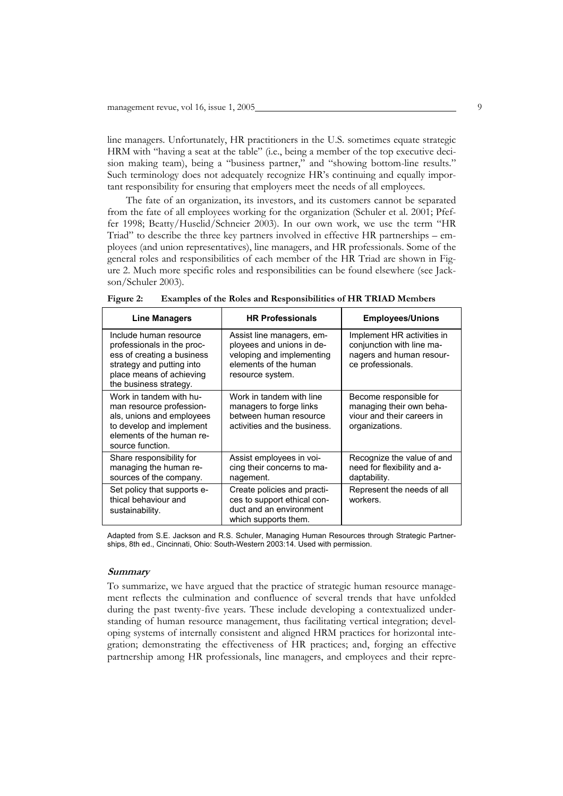line managers. Unfortunately, HR practitioners in the U.S. sometimes equate strategic HRM with "having a seat at the table" (i.e., being a member of the top executive decision making team), being a "business partner," and "showing bottom-line results." Such terminology does not adequately recognize HR's continuing and equally important responsibility for ensuring that employers meet the needs of all employees.

The fate of an organization, its investors, and its customers cannot be separated from the fate of all employees working for the organization (Schuler et al. 2001; Pfeffer 1998; Beatty/Huselid/Schneier 2003). In our own work, we use the term "HR Triad" to describe the three key partners involved in effective HR partnerships – employees (and union representatives), line managers, and HR professionals. Some of the general roles and responsibilities of each member of the HR Triad are shown in Figure 2. Much more specific roles and responsibilities can be found elsewhere (see Jackson/Schuler 2003).

| <b>Line Managers</b>                                                                                                                                                  | <b>HR Professionals</b>                                                                                                          | <b>Employees/Unions</b>                                                                                  |  |
|-----------------------------------------------------------------------------------------------------------------------------------------------------------------------|----------------------------------------------------------------------------------------------------------------------------------|----------------------------------------------------------------------------------------------------------|--|
| Include human resource<br>professionals in the proc-<br>ess of creating a business<br>strategy and putting into<br>place means of achieving<br>the business strategy. | Assist line managers, em-<br>ployees and unions in de-<br>veloping and implementing<br>elements of the human<br>resource system. | Implement HR activities in<br>conjunction with line ma-<br>nagers and human resour-<br>ce professionals. |  |
| Work in tandem with hu-<br>man resource profession-<br>als, unions and employees<br>to develop and implement<br>elements of the human re-<br>source function.         | Work in tandem with line<br>managers to forge links<br>between human resource<br>activities and the business.                    | Become responsible for<br>managing their own beha-<br>viour and their careers in<br>organizations.       |  |
| Share responsibility for<br>managing the human re-<br>sources of the company.                                                                                         | Assist employees in voi-<br>cing their concerns to ma-<br>nagement.                                                              | Recognize the value of and<br>need for flexibility and a-<br>daptability.                                |  |
| Set policy that supports e-<br>thical behaviour and<br>sustainability.                                                                                                | Create policies and practi-<br>ces to support ethical con-<br>duct and an environment<br>which supports them.                    | Represent the needs of all<br>workers.                                                                   |  |

| Figure 2: |  | <b>Examples of the Roles and Responsibilities of HR TRIAD Members</b> |
|-----------|--|-----------------------------------------------------------------------|
|           |  |                                                                       |

Adapted from S.E. Jackson and R.S. Schuler, Managing Human Resources through Strategic Partnerships, 8th ed., Cincinnati, Ohio: South-Western 2003:14. Used with permission.

#### **Summary**

To summarize, we have argued that the practice of strategic human resource management reflects the culmination and confluence of several trends that have unfolded during the past twenty-five years. These include developing a contextualized understanding of human resource management, thus facilitating vertical integration; developing systems of internally consistent and aligned HRM practices for horizontal integration; demonstrating the effectiveness of HR practices; and, forging an effective partnership among HR professionals, line managers, and employees and their repre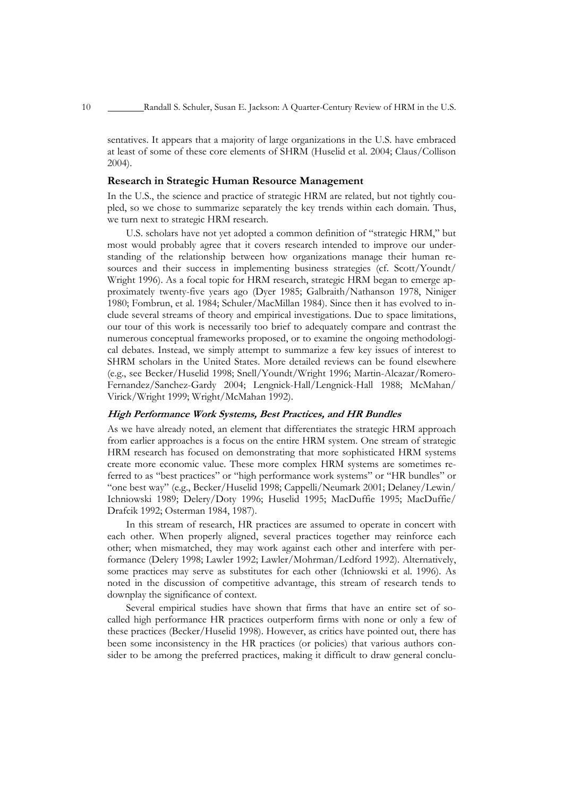sentatives. It appears that a majority of large organizations in the U.S. have embraced at least of some of these core elements of SHRM (Huselid et al. 2004; Claus/Collison 2004).

## **Research in Strategic Human Resource Management**

In the U.S., the science and practice of strategic HRM are related, but not tightly coupled, so we chose to summarize separately the key trends within each domain. Thus, we turn next to strategic HRM research.

U.S. scholars have not yet adopted a common definition of "strategic HRM," but most would probably agree that it covers research intended to improve our understanding of the relationship between how organizations manage their human resources and their success in implementing business strategies (cf. Scott/Youndt/ Wright 1996). As a focal topic for HRM research, strategic HRM began to emerge approximately twenty-five years ago (Dyer 1985; Galbraith/Nathanson 1978, Niniger 1980; Fombrun, et al. 1984; Schuler/MacMillan 1984). Since then it has evolved to include several streams of theory and empirical investigations. Due to space limitations, our tour of this work is necessarily too brief to adequately compare and contrast the numerous conceptual frameworks proposed, or to examine the ongoing methodological debates. Instead, we simply attempt to summarize a few key issues of interest to SHRM scholars in the United States. More detailed reviews can be found elsewhere (e.g., see Becker/Huselid 1998; Snell/Youndt/Wright 1996; Martin-Alcazar/Romero-Fernandez/Sanchez-Gardy 2004; Lengnick-Hall/Lengnick-Hall 1988; McMahan/ Virick/Wright 1999; Wright/McMahan 1992).

#### **High Performance Work Systems, Best Practices, and HR Bundles**

As we have already noted, an element that differentiates the strategic HRM approach from earlier approaches is a focus on the entire HRM system. One stream of strategic HRM research has focused on demonstrating that more sophisticated HRM systems create more economic value. These more complex HRM systems are sometimes referred to as "best practices" or "high performance work systems" or "HR bundles" or "one best way" (e.g., Becker/Huselid 1998; Cappelli/Neumark 2001; Delaney/Lewin/ Ichniowski 1989; Delery/Doty 1996; Huselid 1995; MacDuffie 1995; MacDuffie/ Drafcik 1992; Osterman 1984, 1987).

In this stream of research, HR practices are assumed to operate in concert with each other. When properly aligned, several practices together may reinforce each other; when mismatched, they may work against each other and interfere with performance (Delery 1998; Lawler 1992; Lawler/Mohrman/Ledford 1992). Alternatively, some practices may serve as substitutes for each other (Ichniowski et al. 1996). As noted in the discussion of competitive advantage, this stream of research tends to downplay the significance of context.

Several empirical studies have shown that firms that have an entire set of socalled high performance HR practices outperform firms with none or only a few of these practices (Becker/Huselid 1998). However, as critics have pointed out, there has been some inconsistency in the HR practices (or policies) that various authors consider to be among the preferred practices, making it difficult to draw general conclu-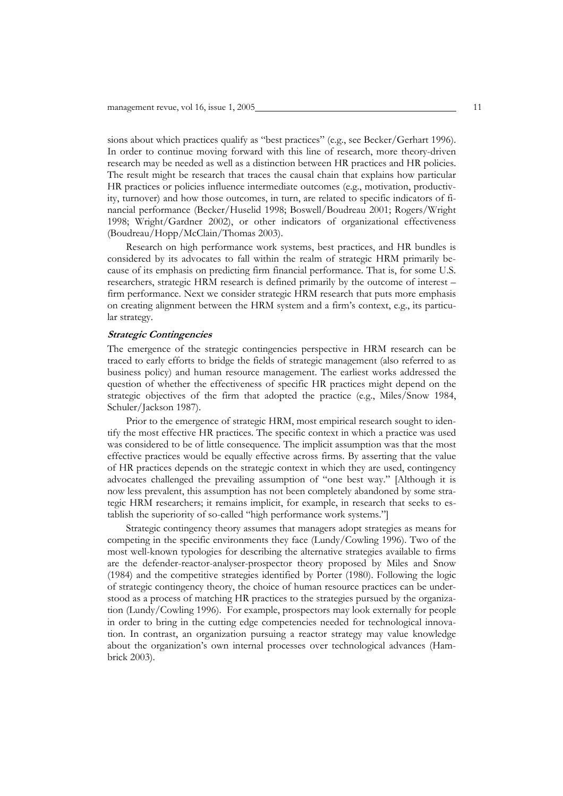sions about which practices qualify as "best practices" (e.g., see Becker/Gerhart 1996). In order to continue moving forward with this line of research, more theory-driven research may be needed as well as a distinction between HR practices and HR policies. The result might be research that traces the causal chain that explains how particular HR practices or policies influence intermediate outcomes (e.g., motivation, productivity, turnover) and how those outcomes, in turn, are related to specific indicators of financial performance (Becker/Huselid 1998; Boswell/Boudreau 2001; Rogers/Wright 1998; Wright/Gardner 2002), or other indicators of organizational effectiveness (Boudreau/Hopp/McClain/Thomas 2003).

Research on high performance work systems, best practices, and HR bundles is considered by its advocates to fall within the realm of strategic HRM primarily because of its emphasis on predicting firm financial performance. That is, for some U.S. researchers, strategic HRM research is defined primarily by the outcome of interest – firm performance. Next we consider strategic HRM research that puts more emphasis on creating alignment between the HRM system and a firm's context, e.g., its particular strategy.

#### **Strategic Contingencies**

The emergence of the strategic contingencies perspective in HRM research can be traced to early efforts to bridge the fields of strategic management (also referred to as business policy) and human resource management. The earliest works addressed the question of whether the effectiveness of specific HR practices might depend on the strategic objectives of the firm that adopted the practice (e.g., Miles/Snow 1984, Schuler/Jackson 1987).

Prior to the emergence of strategic HRM, most empirical research sought to identify the most effective HR practices. The specific context in which a practice was used was considered to be of little consequence. The implicit assumption was that the most effective practices would be equally effective across firms. By asserting that the value of HR practices depends on the strategic context in which they are used, contingency advocates challenged the prevailing assumption of "one best way." [Although it is now less prevalent, this assumption has not been completely abandoned by some strategic HRM researchers; it remains implicit, for example, in research that seeks to establish the superiority of so-called "high performance work systems."]

Strategic contingency theory assumes that managers adopt strategies as means for competing in the specific environments they face (Lundy/Cowling 1996). Two of the most well-known typologies for describing the alternative strategies available to firms are the defender-reactor-analyser-prospector theory proposed by Miles and Snow (1984) and the competitive strategies identified by Porter (1980). Following the logic of strategic contingency theory, the choice of human resource practices can be understood as a process of matching HR practices to the strategies pursued by the organization (Lundy/Cowling 1996). For example, prospectors may look externally for people in order to bring in the cutting edge competencies needed for technological innovation. In contrast, an organization pursuing a reactor strategy may value knowledge about the organization's own internal processes over technological advances (Hambrick 2003).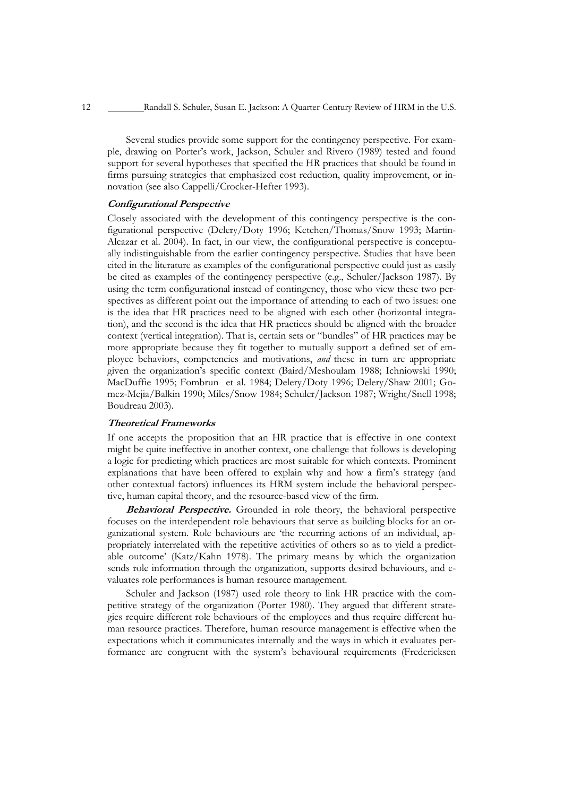Several studies provide some support for the contingency perspective. For example, drawing on Porter's work, Jackson, Schuler and Rivero (1989) tested and found support for several hypotheses that specified the HR practices that should be found in firms pursuing strategies that emphasized cost reduction, quality improvement, or innovation (see also Cappelli/Crocker-Hefter 1993).

## **Configurational Perspective**

Closely associated with the development of this contingency perspective is the configurational perspective (Delery/Doty 1996; Ketchen/Thomas/Snow 1993; Martin-Alcazar et al. 2004). In fact, in our view, the configurational perspective is conceptually indistinguishable from the earlier contingency perspective. Studies that have been cited in the literature as examples of the configurational perspective could just as easily be cited as examples of the contingency perspective (e.g., Schuler/Jackson 1987). By using the term configurational instead of contingency, those who view these two perspectives as different point out the importance of attending to each of two issues: one is the idea that HR practices need to be aligned with each other (horizontal integration), and the second is the idea that HR practices should be aligned with the broader context (vertical integration). That is, certain sets or "bundles" of HR practices may be more appropriate because they fit together to mutually support a defined set of employee behaviors, competencies and motivations, *and* these in turn are appropriate given the organization's specific context (Baird/Meshoulam 1988; Ichniowski 1990; MacDuffie 1995; Fombrun et al. 1984; Delery/Doty 1996; Delery/Shaw 2001; Gomez-Mejia/Balkin 1990; Miles/Snow 1984; Schuler/Jackson 1987; Wright/Snell 1998; Boudreau 2003).

## **Theoretical Frameworks**

If one accepts the proposition that an HR practice that is effective in one context might be quite ineffective in another context, one challenge that follows is developing a logic for predicting which practices are most suitable for which contexts. Prominent explanations that have been offered to explain why and how a firm's strategy (and other contextual factors) influences its HRM system include the behavioral perspective, human capital theory, and the resource-based view of the firm.

**Behavioral Perspective.** Grounded in role theory, the behavioral perspective focuses on the interdependent role behaviours that serve as building blocks for an organizational system. Role behaviours are 'the recurring actions of an individual, appropriately interrelated with the repetitive activities of others so as to yield a predictable outcome' (Katz/Kahn 1978). The primary means by which the organization sends role information through the organization, supports desired behaviours, and evaluates role performances is human resource management.

Schuler and Jackson (1987) used role theory to link HR practice with the competitive strategy of the organization (Porter 1980). They argued that different strategies require different role behaviours of the employees and thus require different human resource practices. Therefore, human resource management is effective when the expectations which it communicates internally and the ways in which it evaluates performance are congruent with the system's behavioural requirements (Fredericksen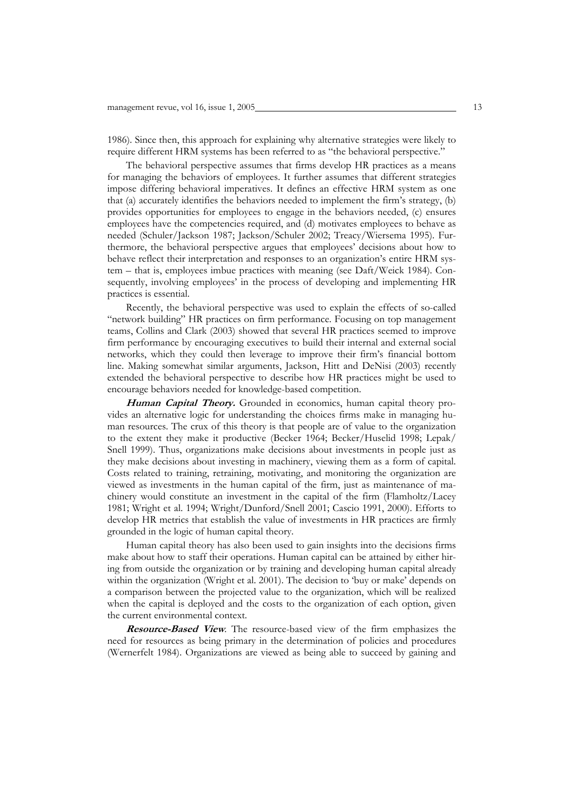1986). Since then, this approach for explaining why alternative strategies were likely to require different HRM systems has been referred to as "the behavioral perspective."

The behavioral perspective assumes that firms develop HR practices as a means for managing the behaviors of employees. It further assumes that different strategies impose differing behavioral imperatives. It defines an effective HRM system as one that (a) accurately identifies the behaviors needed to implement the firm's strategy, (b) provides opportunities for employees to engage in the behaviors needed, (c) ensures employees have the competencies required, and (d) motivates employees to behave as needed (Schuler/Jackson 1987; Jackson/Schuler 2002; Treacy/Wiersema 1995). Furthermore, the behavioral perspective argues that employees' decisions about how to behave reflect their interpretation and responses to an organization's entire HRM system – that is, employees imbue practices with meaning (see Daft/Weick 1984). Consequently, involving employees' in the process of developing and implementing HR practices is essential.

Recently, the behavioral perspective was used to explain the effects of so-called "network building" HR practices on firm performance. Focusing on top management teams, Collins and Clark (2003) showed that several HR practices seemed to improve firm performance by encouraging executives to build their internal and external social networks, which they could then leverage to improve their firm's financial bottom line. Making somewhat similar arguments, Jackson, Hitt and DeNisi (2003) recently extended the behavioral perspective to describe how HR practices might be used to encourage behaviors needed for knowledge-based competition.

**Human Capital Theory.** Grounded in economics, human capital theory provides an alternative logic for understanding the choices firms make in managing human resources. The crux of this theory is that people are of value to the organization to the extent they make it productive (Becker 1964; Becker/Huselid 1998; Lepak/ Snell 1999). Thus, organizations make decisions about investments in people just as they make decisions about investing in machinery, viewing them as a form of capital. Costs related to training, retraining, motivating, and monitoring the organization are viewed as investments in the human capital of the firm, just as maintenance of machinery would constitute an investment in the capital of the firm (Flamholtz/Lacey 1981; Wright et al. 1994; Wright/Dunford/Snell 2001; Cascio 1991, 2000). Efforts to develop HR metrics that establish the value of investments in HR practices are firmly grounded in the logic of human capital theory.

Human capital theory has also been used to gain insights into the decisions firms make about how to staff their operations. Human capital can be attained by either hiring from outside the organization or by training and developing human capital already within the organization (Wright et al. 2001). The decision to 'buy or make' depends on a comparison between the projected value to the organization, which will be realized when the capital is deployed and the costs to the organization of each option, given the current environmental context.

**Resource-Based View***.* The resource-based view of the firm emphasizes the need for resources as being primary in the determination of policies and procedures (Wernerfelt 1984). Organizations are viewed as being able to succeed by gaining and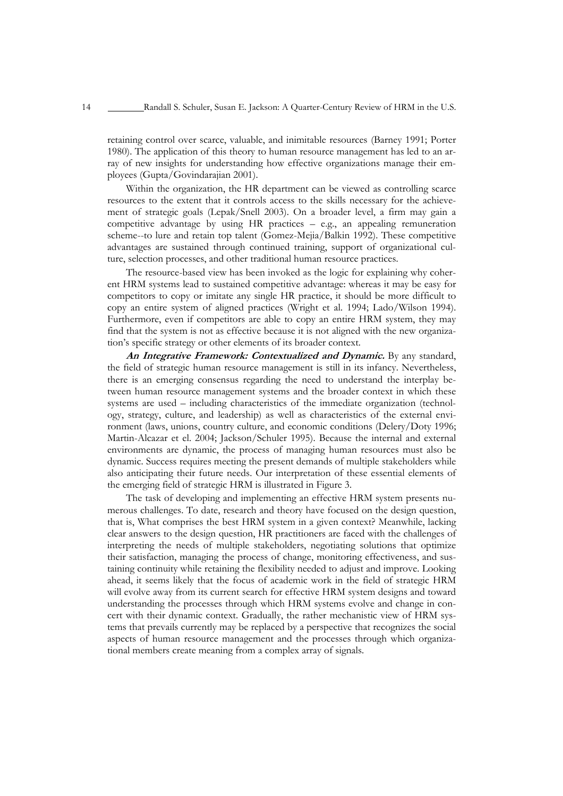retaining control over scarce, valuable, and inimitable resources (Barney 1991; Porter 1980). The application of this theory to human resource management has led to an array of new insights for understanding how effective organizations manage their employees (Gupta/Govindarajian 2001).

Within the organization, the HR department can be viewed as controlling scarce resources to the extent that it controls access to the skills necessary for the achievement of strategic goals (Lepak/Snell 2003). On a broader level, a firm may gain a competitive advantage by using HR practices  $-$  e.g., an appealing remuneration scheme--to lure and retain top talent (Gomez-Mejia/Balkin 1992). These competitive advantages are sustained through continued training, support of organizational culture, selection processes, and other traditional human resource practices.

The resource-based view has been invoked as the logic for explaining why coherent HRM systems lead to sustained competitive advantage: whereas it may be easy for competitors to copy or imitate any single HR practice, it should be more difficult to copy an entire system of aligned practices (Wright et al. 1994; Lado/Wilson 1994). Furthermore, even if competitors are able to copy an entire HRM system, they may find that the system is not as effective because it is not aligned with the new organization's specific strategy or other elements of its broader context.

**An Integrative Framework: Contextualized and Dynamic.** By any standard, the field of strategic human resource management is still in its infancy. Nevertheless, there is an emerging consensus regarding the need to understand the interplay between human resource management systems and the broader context in which these systems are used – including characteristics of the immediate organization (technology, strategy, culture, and leadership) as well as characteristics of the external environment (laws, unions, country culture, and economic conditions (Delery/Doty 1996; Martin-Alcazar et el. 2004; Jackson/Schuler 1995). Because the internal and external environments are dynamic, the process of managing human resources must also be dynamic. Success requires meeting the present demands of multiple stakeholders while also anticipating their future needs. Our interpretation of these essential elements of the emerging field of strategic HRM is illustrated in Figure 3.

The task of developing and implementing an effective HRM system presents numerous challenges. To date, research and theory have focused on the design question, that is, What comprises the best HRM system in a given context? Meanwhile, lacking clear answers to the design question, HR practitioners are faced with the challenges of interpreting the needs of multiple stakeholders, negotiating solutions that optimize their satisfaction, managing the process of change, monitoring effectiveness, and sustaining continuity while retaining the flexibility needed to adjust and improve. Looking ahead, it seems likely that the focus of academic work in the field of strategic HRM will evolve away from its current search for effective HRM system designs and toward understanding the processes through which HRM systems evolve and change in concert with their dynamic context. Gradually, the rather mechanistic view of HRM systems that prevails currently may be replaced by a perspective that recognizes the social aspects of human resource management and the processes through which organizational members create meaning from a complex array of signals.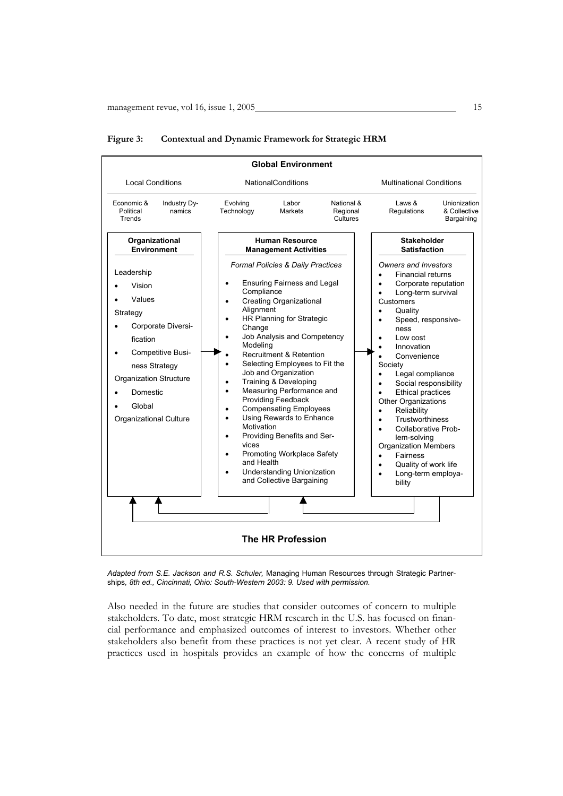

**Figure 3: Contextual and Dynamic Framework for Strategic HRM** 

*Adapted from S.E. Jackson and R.S. Schuler,* Managing Human Resources through Strategic Partnerships*, 8th ed., Cincinnati, Ohio: South-Western 2003: 9. Used with permission.* 

Also needed in the future are studies that consider outcomes of concern to multiple stakeholders. To date, most strategic HRM research in the U.S. has focused on financial performance and emphasized outcomes of interest to investors. Whether other stakeholders also benefit from these practices is not yet clear. A recent study of HR practices used in hospitals provides an example of how the concerns of multiple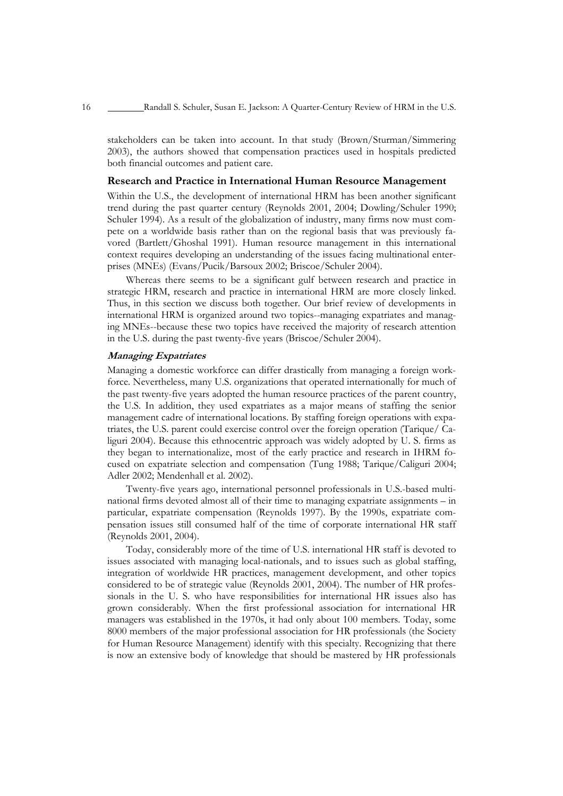stakeholders can be taken into account. In that study (Brown/Sturman/Simmering 2003), the authors showed that compensation practices used in hospitals predicted both financial outcomes and patient care.

## **Research and Practice in International Human Resource Management**

Within the U.S., the development of international HRM has been another significant trend during the past quarter century (Reynolds 2001, 2004; Dowling/Schuler 1990; Schuler 1994). As a result of the globalization of industry, many firms now must compete on a worldwide basis rather than on the regional basis that was previously favored (Bartlett/Ghoshal 1991). Human resource management in this international context requires developing an understanding of the issues facing multinational enterprises (MNEs) (Evans/Pucik/Barsoux 2002; Briscoe/Schuler 2004).

Whereas there seems to be a significant gulf between research and practice in strategic HRM, research and practice in international HRM are more closely linked. Thus, in this section we discuss both together. Our brief review of developments in international HRM is organized around two topics--managing expatriates and managing MNEs--because these two topics have received the majority of research attention in the U.S. during the past twenty-five years (Briscoe/Schuler 2004).

## **Managing Expatriates**

Managing a domestic workforce can differ drastically from managing a foreign workforce. Nevertheless, many U.S. organizations that operated internationally for much of the past twenty-five years adopted the human resource practices of the parent country, the U.S. In addition, they used expatriates as a major means of staffing the senior management cadre of international locations. By staffing foreign operations with expatriates, the U.S. parent could exercise control over the foreign operation (Tarique/ Caliguri 2004). Because this ethnocentric approach was widely adopted by U. S. firms as they began to internationalize, most of the early practice and research in IHRM focused on expatriate selection and compensation (Tung 1988; Tarique/Caliguri 2004; Adler 2002; Mendenhall et al. 2002).

Twenty-five years ago, international personnel professionals in U.S.-based multinational firms devoted almost all of their time to managing expatriate assignments – in particular, expatriate compensation (Reynolds 1997). By the 1990s, expatriate compensation issues still consumed half of the time of corporate international HR staff (Reynolds 2001, 2004).

Today, considerably more of the time of U.S. international HR staff is devoted to issues associated with managing local-nationals, and to issues such as global staffing, integration of worldwide HR practices, management development, and other topics considered to be of strategic value (Reynolds 2001, 2004). The number of HR professionals in the U. S. who have responsibilities for international HR issues also has grown considerably. When the first professional association for international HR managers was established in the 1970s, it had only about 100 members. Today, some 8000 members of the major professional association for HR professionals (the Society for Human Resource Management) identify with this specialty. Recognizing that there is now an extensive body of knowledge that should be mastered by HR professionals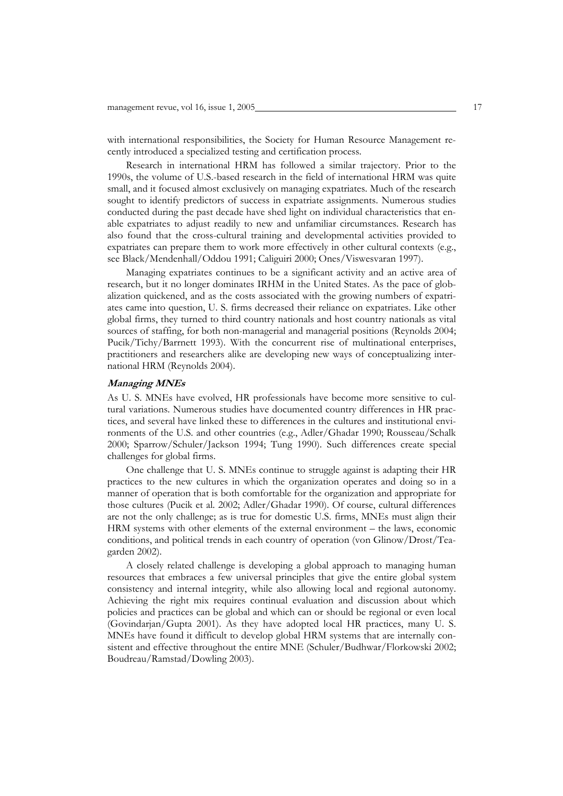with international responsibilities, the Society for Human Resource Management recently introduced a specialized testing and certification process.

Research in international HRM has followed a similar trajectory. Prior to the 1990s, the volume of U.S.-based research in the field of international HRM was quite small, and it focused almost exclusively on managing expatriates. Much of the research sought to identify predictors of success in expatriate assignments. Numerous studies conducted during the past decade have shed light on individual characteristics that enable expatriates to adjust readily to new and unfamiliar circumstances. Research has also found that the cross-cultural training and developmental activities provided to expatriates can prepare them to work more effectively in other cultural contexts (e.g., see Black/Mendenhall/Oddou 1991; Caliguiri 2000; Ones/Viswesvaran 1997).

Managing expatriates continues to be a significant activity and an active area of research, but it no longer dominates IRHM in the United States. As the pace of globalization quickened, and as the costs associated with the growing numbers of expatriates came into question, U. S. firms decreased their reliance on expatriates. Like other global firms, they turned to third country nationals and host country nationals as vital sources of staffing, for both non-managerial and managerial positions (Reynolds 2004; Pucik/Tichy/Barrnett 1993). With the concurrent rise of multinational enterprises, practitioners and researchers alike are developing new ways of conceptualizing international HRM (Reynolds 2004).

#### **Managing MNEs**

As U. S. MNEs have evolved, HR professionals have become more sensitive to cultural variations. Numerous studies have documented country differences in HR practices, and several have linked these to differences in the cultures and institutional environments of the U.S. and other countries (e.g., Adler/Ghadar 1990; Rousseau/Schalk 2000; Sparrow/Schuler/Jackson 1994; Tung 1990). Such differences create special challenges for global firms.

One challenge that U. S. MNEs continue to struggle against is adapting their HR practices to the new cultures in which the organization operates and doing so in a manner of operation that is both comfortable for the organization and appropriate for those cultures (Pucik et al. 2002; Adler/Ghadar 1990). Of course, cultural differences are not the only challenge; as is true for domestic U.S. firms, MNEs must align their HRM systems with other elements of the external environment – the laws, economic conditions, and political trends in each country of operation (von Glinow/Drost/Teagarden 2002).

A closely related challenge is developing a global approach to managing human resources that embraces a few universal principles that give the entire global system consistency and internal integrity, while also allowing local and regional autonomy. Achieving the right mix requires continual evaluation and discussion about which policies and practices can be global and which can or should be regional or even local (Govindarjan/Gupta 2001). As they have adopted local HR practices, many U. S. MNEs have found it difficult to develop global HRM systems that are internally consistent and effective throughout the entire MNE (Schuler/Budhwar/Florkowski 2002; Boudreau/Ramstad/Dowling 2003).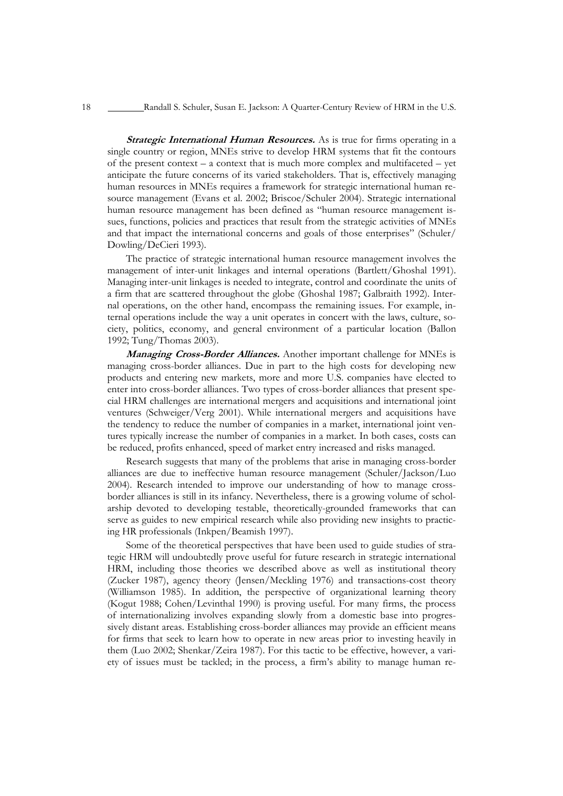**Strategic International Human Resources.** As is true for firms operating in a single country or region, MNEs strive to develop HRM systems that fit the contours of the present context – a context that is much more complex and multifaceted – yet anticipate the future concerns of its varied stakeholders. That is, effectively managing human resources in MNEs requires a framework for strategic international human resource management (Evans et al. 2002; Briscoe/Schuler 2004). Strategic international human resource management has been defined as "human resource management issues, functions, policies and practices that result from the strategic activities of MNEs and that impact the international concerns and goals of those enterprises" (Schuler/ Dowling/DeCieri 1993).

The practice of strategic international human resource management involves the management of inter-unit linkages and internal operations (Bartlett/Ghoshal 1991). Managing inter-unit linkages is needed to integrate, control and coordinate the units of a firm that are scattered throughout the globe (Ghoshal 1987; Galbraith 1992). Internal operations, on the other hand, encompass the remaining issues. For example, internal operations include the way a unit operates in concert with the laws, culture, society, politics, economy, and general environment of a particular location (Ballon 1992; Tung/Thomas 2003).

**Managing Cross-Border Alliances.** Another important challenge for MNEs is managing cross-border alliances. Due in part to the high costs for developing new products and entering new markets, more and more U.S. companies have elected to enter into cross-border alliances. Two types of cross-border alliances that present special HRM challenges are international mergers and acquisitions and international joint ventures (Schweiger/Verg 2001). While international mergers and acquisitions have the tendency to reduce the number of companies in a market, international joint ventures typically increase the number of companies in a market. In both cases, costs can be reduced, profits enhanced, speed of market entry increased and risks managed.

Research suggests that many of the problems that arise in managing cross-border alliances are due to ineffective human resource management (Schuler/Jackson/Luo 2004). Research intended to improve our understanding of how to manage crossborder alliances is still in its infancy. Nevertheless, there is a growing volume of scholarship devoted to developing testable, theoretically-grounded frameworks that can serve as guides to new empirical research while also providing new insights to practicing HR professionals (Inkpen/Beamish 1997).

Some of the theoretical perspectives that have been used to guide studies of strategic HRM will undoubtedly prove useful for future research in strategic international HRM, including those theories we described above as well as institutional theory (Zucker 1987), agency theory (Jensen/Meckling 1976) and transactions-cost theory (Williamson 1985). In addition, the perspective of organizational learning theory (Kogut 1988; Cohen/Levinthal 1990) is proving useful. For many firms, the process of internationalizing involves expanding slowly from a domestic base into progressively distant areas. Establishing cross-border alliances may provide an efficient means for firms that seek to learn how to operate in new areas prior to investing heavily in them (Luo 2002; Shenkar/Zeira 1987). For this tactic to be effective, however, a variety of issues must be tackled; in the process, a firm's ability to manage human re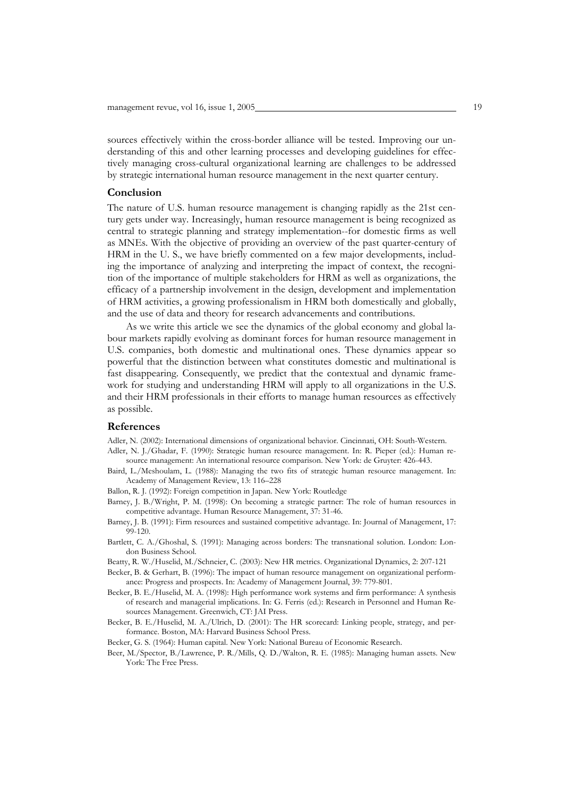sources effectively within the cross-border alliance will be tested. Improving our understanding of this and other learning processes and developing guidelines for effectively managing cross-cultural organizational learning are challenges to be addressed by strategic international human resource management in the next quarter century.

#### **Conclusion**

The nature of U.S. human resource management is changing rapidly as the 21st century gets under way. Increasingly, human resource management is being recognized as central to strategic planning and strategy implementation--for domestic firms as well as MNEs. With the objective of providing an overview of the past quarter-century of HRM in the U. S., we have briefly commented on a few major developments, including the importance of analyzing and interpreting the impact of context, the recognition of the importance of multiple stakeholders for HRM as well as organizations, the efficacy of a partnership involvement in the design, development and implementation of HRM activities, a growing professionalism in HRM both domestically and globally, and the use of data and theory for research advancements and contributions.

As we write this article we see the dynamics of the global economy and global labour markets rapidly evolving as dominant forces for human resource management in U.S. companies, both domestic and multinational ones. These dynamics appear so powerful that the distinction between what constitutes domestic and multinational is fast disappearing. Consequently, we predict that the contextual and dynamic framework for studying and understanding HRM will apply to all organizations in the U.S. and their HRM professionals in their efforts to manage human resources as effectively as possible.

#### **References**

Adler, N. (2002): International dimensions of organizational behavior. Cincinnati, OH: South-Western.

- Adler, N. J./Ghadar, F. (1990): Strategic human resource management. In: R. Pieper (ed.): Human resource management: An international resource comparison. New York: de Gruyter: 426-443.
- Baird, L./Meshoulam, L. (1988): Managing the two fits of strategic human resource management. In: Academy of Management Review, 13: 116–228
- Ballon, R. J. (1992): Foreign competition in Japan. New York: Routledge
- Barney, J. B./Wright, P. M. (1998): On becoming a strategic partner: The role of human resources in competitive advantage. Human Resource Management, 37: 31-46.
- Barney, J. B. (1991): Firm resources and sustained competitive advantage. In: Journal of Management, 17: 99-120.
- Bartlett, C. A./Ghoshal, S. (1991): Managing across borders: The transnational solution. London: London Business School.
- Beatty, R. W./Huselid, M./Schneier, C. (2003): New HR metrics. Organizational Dynamics, 2: 207-121
- Becker, B. & Gerhart, B. (1996): The impact of human resource management on organizational performance: Progress and prospects. In: Academy of Management Journal, 39: 779-801.
- Becker, B. E./Huselid, M. A. (1998): High performance work systems and firm performance: A synthesis of research and managerial implications. In: G. Ferris (ed.): Research in Personnel and Human Resources Management. Greenwich, CT: JAI Press.
- Becker, B. E./Huselid, M. A./Ulrich, D. (2001): The HR scorecard: Linking people, strategy, and performance. Boston, MA: Harvard Business School Press.
- Becker, G. S. (1964): Human capital. New York: National Bureau of Economic Research.
- Beer, M./Spector, B./Lawrence, P. R./Mills, Q. D./Walton, R. E. (1985): Managing human assets. New York: The Free Press.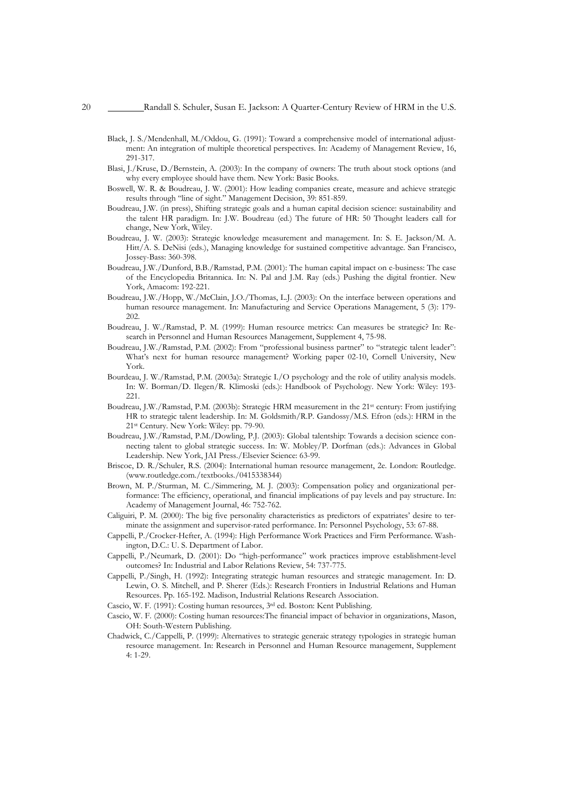- Black, J. S./Mendenhall, M./Oddou, G. (1991): Toward a comprehensive model of international adjustment: An integration of multiple theoretical perspectives. In: Academy of Management Review, 16, 291-317.
- Blasi, J./Kruse, D./Bernstein, A. (2003): In the company of owners: The truth about stock options (and why every employee should have them. New York: Basic Books.
- Boswell, W. R. & Boudreau, J. W. (2001): How leading companies create, measure and achieve strategic results through "line of sight." Management Decision, 39: 851-859.
- Boudreau, J.W. (in press), Shifting strategic goals and a human capital decision science: sustainability and the talent HR paradigm. In: J.W. Boudreau (ed.) The future of HR: 50 Thought leaders call for change, New York, Wiley.
- Boudreau, J. W. (2003): Strategic knowledge measurement and management. In: S. E. Jackson/M. A. Hitt/A. S. DeNisi (eds.), Managing knowledge for sustained competitive advantage. San Francisco, Jossey-Bass: 360-398.
- Boudreau, J.W./Dunford, B.B./Ramstad, P.M. (2001): The human capital impact on e-business: The case of the Encyclopedia Britannica. In: N. Pal and J.M. Ray (eds.) Pushing the digital frontier. New York, Amacom: 192-221.
- Boudreau, J.W./Hopp, W./McClain, J.O./Thomas, L.J. (2003): On the interface between operations and human resource management. In: Manufacturing and Service Operations Management, 5 (3): 179- 202.
- Boudreau, J. W./Ramstad, P. M. (1999): Human resource metrics: Can measures be strategic? In: Research in Personnel and Human Resources Management, Supplement 4, 75-98.
- Boudreau, J.W./Ramstad, P.M. (2002): From "professional business partner" to "strategic talent leader": What's next for human resource management? Working paper 02-10, Cornell University, New York.
- Bourdeau, J. W./Ramstad, P.M. (2003a): Strategic I./O psychology and the role of utility analysis models. In: W. Borman/D. Ilegen/R. Klimoski (eds.): Handbook of Psychology. New York: Wiley: 193- 221.
- Boudreau, J.W./Ramstad, P.M. (2003b): Strategic HRM measurement in the 21st century: From justifying HR to strategic talent leadership. In: M. Goldsmith/R.P. Gandossy/M.S. Efron (eds.): HRM in the 21st Century. New York: Wiley: pp. 79-90.
- Boudreau, J.W./Ramstad, P.M./Dowling, P.J. (2003): Global talentship: Towards a decision science connecting talent to global strategic success. In: W. Mobley/P. Dorfman (eds.): Advances in Global Leadership. New York, JAI Press./Elsevier Science: 63-99.
- Briscoe, D. R./Schuler, R.S. (2004): International human resource management, 2e. London: Routledge. (www.routledge.com./textbooks./0415338344)
- Brown, M. P./Sturman, M. C./Simmering, M. J. (2003): Compensation policy and organizational performance: The efficiency, operational, and financial implications of pay levels and pay structure. In: Academy of Management Journal, 46: 752-762.
- Caliguiri, P. M. (2000): The big five personality characteristics as predictors of expatriates' desire to terminate the assignment and supervisor-rated performance. In: Personnel Psychology, 53: 67-88.
- Cappelli, P./Crocker-Hefter, A. (1994): High Performance Work Practices and Firm Performance. Washington, D.C.: U. S. Department of Labor.
- Cappelli, P./Neumark, D. (2001): Do "high-performance" work practices improve establishment-level outcomes? In: Industrial and Labor Relations Review, 54: 737-775.
- Cappelli, P./Singh, H. (1992): Integrating strategic human resources and strategic management. In: D. Lewin, O. S. Mitchell, and P. Sherer (Eds.): Research Frontiers in Industrial Relations and Human Resources. Pp. 165-192. Madison, Industrial Relations Research Association.
- Cascio, W. F. (1991): Costing human resources, 3rd ed. Boston: Kent Publishing.
- Cascio, W. F. (2000): Costing human resources:The financial impact of behavior in organizations, Mason, OH: South-Western Publishing.
- Chadwick, C./Cappelli, P. (1999): Alternatives to strategic generaic strategy typologies in strategic human resource management. In: Research in Personnel and Human Resource management, Supplement 4: 1-29.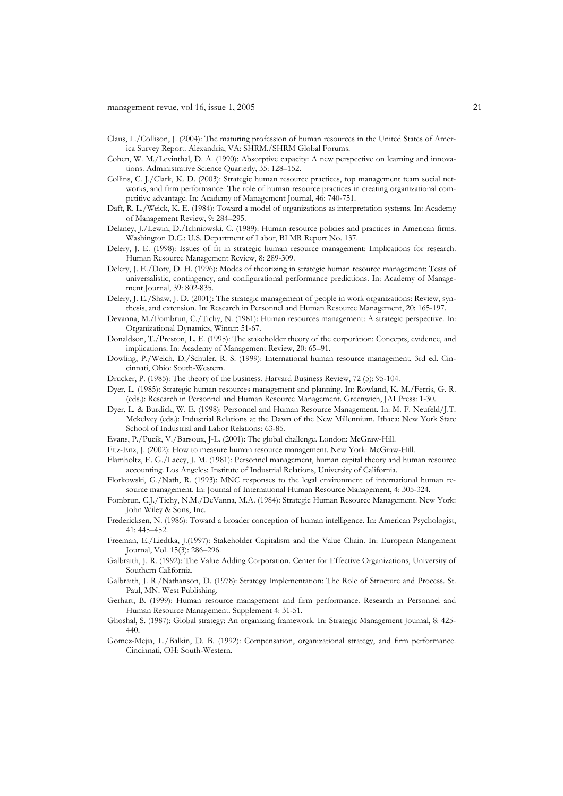- Claus, L./Collison, J. (2004): The maturing profession of human resources in the United States of America Survey Report. Alexandria, VA: SHRM./SHRM Global Forums.
- Cohen, W. M./Levinthal, D. A. (1990): Absorptive capacity: A new perspective on learning and innovations. Administrative Science Quarterly, 35: 128–152.
- Collins, C. J./Clark, K. D. (2003): Strategic human resource practices, top management team social networks, and firm performance: The role of human resource practices in creating organizational competitive advantage. In: Academy of Management Journal, 46: 740-751.
- Daft, R. L./Weick, K. E. (1984): Toward a model of organizations as interpretation systems. In: Academy of Management Review, 9: 284–295.
- Delaney, J./Lewin, D./Ichniowski, C. (1989): Human resource policies and practices in American firms. Washington D.C.: U.S. Department of Labor, BLMR Report No. 137.
- Delery, J. E. (1998): Issues of fit in strategic human resource management: Implications for research. Human Resource Management Review, 8: 289-309.
- Delery, J. E./Doty, D. H. (1996): Modes of theorizing in strategic human resource management: Tests of universalistic, contingency, and configurational performance predictions. In: Academy of Management Journal, 39: 802-835.
- Delery, J. E./Shaw, J. D. (2001): The strategic management of people in work organizations: Review, synthesis, and extension. In: Research in Personnel and Human Resource Management, 20: 165-197.
- Devanna, M./Fombrun, C./Tichy, N. (1981): Human resources management: A strategic perspective. In: Organizational Dynamics, Winter: 51-67.
- Donaldson, T./Preston, L. E. (1995): The stakeholder theory of the corporátion: Concepts, evidence, and implications. In: Academy of Management Review, 20: 65–91.
- Dowling, P./Welch, D./Schuler, R. S. (1999): International human resource management, 3rd ed. Cincinnati, Ohio: South-Western.
- Drucker, P. (1985): The theory of the business. Harvard Business Review, 72 (5): 95-104.
- Dyer, L. (1985): Strategic human resources management and planning. In: Rowland, K. M./Ferris, G. R. (eds.): Research in Personnel and Human Resource Management. Greenwich, JAI Press: 1-30.
- Dyer, L. & Burdick, W. E. (1998): Personnel and Human Resource Management. In: M. F. Neufeld/J.T. Mckelvey (eds.): Industrial Relations at the Dawn of the New Millennium. Ithaca: New York State School of Industrial and Labor Relations: 63-85.
- Evans, P./Pucik, V./Barsoux, J-L. (2001): The global challenge. London: McGraw-Hill.
- Fitz-Enz, J. (2002): How to measure human resource management. New York: McGraw-Hill.
- Flamholtz, E. G./Lacey, J. M. (1981): Personnel management, human capital theory and human resource accounting. Los Angeles: Institute of Industrial Relations, University of California.
- Florkowski, G./Nath, R. (1993): MNC responses to the legal environment of international human resource management. In: Journal of International Human Resource Management, 4: 305-324.
- Fombrun, C.J./Tichy, N.M./DeVanna, M.A. (1984): Strategic Human Resource Management. New York: John Wiley & Sons, Inc.
- Fredericksen, N. (1986): Toward a broader conception of human intelligence. In: American Psychologist, 41: 445–452.
- Freeman, E./Liedtka, J.(1997): Stakeholder Capitalism and the Value Chain. In: European Mangement Journal, Vol. 15(3): 286–296.
- Galbraith, J. R. (1992): The Value Adding Corporation. Center for Effective Organizations, University of Southern California.
- Galbraith, J. R./Nathanson, D. (1978): Strategy Implementation: The Role of Structure and Process. St. Paul, MN. West Publishing.
- Gerhart, B. (1999): Human resource management and firm performance. Research in Personnel and Human Resource Management. Supplement 4: 31-51.
- Ghoshal, S. (1987): Global strategy: An organizing framework. In: Strategic Management Journal, 8: 425- 440.
- Gomez-Mejia, L./Balkin, D. B. (1992): Compensation, organizational strategy, and firm performance. Cincinnati, OH: South-Western.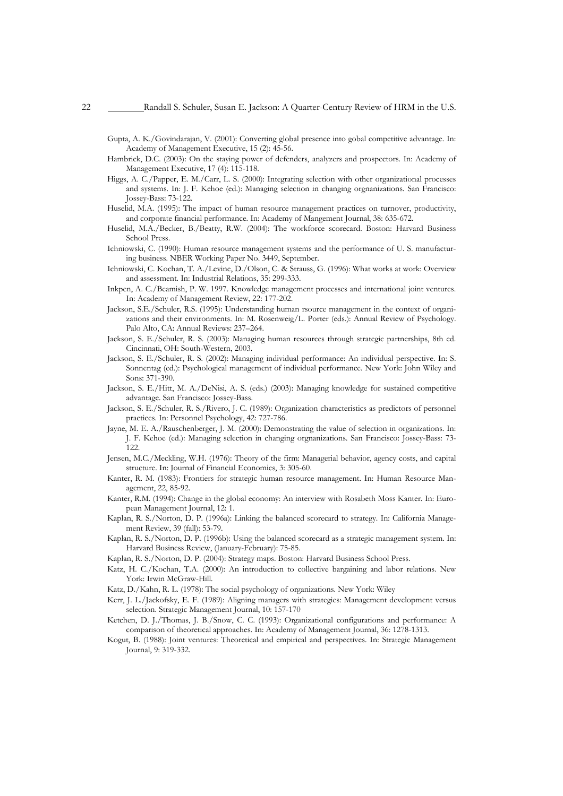- Gupta, A. K./Govindarajan, V. (2001): Converting global presence into gobal competitive advantage. In: Academy of Management Executive, 15 (2): 45-56.
- Hambrick, D.C. (2003): On the staying power of defenders, analyzers and prospectors. In: Academy of Management Executive, 17 (4): 115-118.
- Higgs, A. C./Papper, E. M./Carr, L. S. (2000): Integrating selection with other organizational processes and systems. In: J. F. Kehoe (ed.): Managing selection in changing orgnanizations. San Francisco: Jossey-Bass: 73-122.
- Huselid, M.A. (1995): The impact of human resource management practices on turnover, productivity, and corporate financial performance. In: Academy of Mangement Journal, 38: 635-672.
- Huselid, M.A./Becker, B./Beatty, R.W. (2004): The workforce scorecard. Boston: Harvard Business School Press.
- Ichniowski, C. (1990): Human resource management systems and the performance of U. S. manufacturing business. NBER Working Paper No. 3449, September.
- Ichniowski, C. Kochan, T. A./Levine, D./Olson, C. & Strauss, G. (1996): What works at work: Overview and assessment. In: Industrial Relations, 35: 299-333.
- Inkpen, A. C./Beamish, P. W. 1997. Knowledge management processes and international joint ventures. In: Academy of Management Review, 22: 177-202.
- Jackson, S.E./Schuler, R.S. (1995): Understanding human rsource management in the context of organizations and their environments. In: M. Rosenweig/L. Porter (eds.): Annual Review of Psychology. Palo Alto, CA: Annual Reviews: 237–264.
- Jackson, S. E./Schuler, R. S. (2003): Managing human resources through strategic partnerships, 8th ed. Cincinnati, OH: South-Western, 2003.
- Jackson, S. E./Schuler, R. S. (2002): Managing individual performance: An individual perspective. In: S. Sonnentag (ed.): Psychological management of individual performance. New York: John Wiley and Sons: 371-390.
- Jackson, S. E./Hitt, M. A./DeNisi, A. S. (eds.) (2003): Managing knowledge for sustained competitive advantage. San Francisco: Jossey-Bass.
- Jackson, S. E./Schuler, R. S./Rivero, J. C. (1989): Organization characteristics as predictors of personnel practices. In: Personnel Psychology, 42: 727-786.
- Jayne, M. E. A./Rauschenberger, J. M. (2000): Demonstrating the value of selection in organizations. In: J. F. Kehoe (ed.): Managing selection in changing orgnanizations. San Francisco: Jossey-Bass: 73- 122.
- Jensen, M.C./Meckling, W.H. (1976): Theory of the firm: Managerial behavior, agency costs, and capital structure. In: Journal of Financial Economics, 3: 305-60.
- Kanter, R. M. (1983): Frontiers for strategic human resource management. In: Human Resource Management, 22, 85-92.
- Kanter, R.M. (1994): Change in the global economy: An interview with Rosabeth Moss Kanter. In: European Management Journal, 12: 1.
- Kaplan, R. S./Norton, D. P. (1996a): Linking the balanced scorecard to strategy. In: California Management Review, 39 (fall): 53-79.
- Kaplan, R. S./Norton, D. P. (1996b): Using the balanced scorecard as a strategic management system. In: Harvard Business Review, (January-February): 75-85.
- Kaplan, R. S./Norton, D. P. (2004): Strategy maps. Boston: Harvard Business School Press.
- Katz, H. C./Kochan, T.A. (2000): An introduction to collective bargaining and labor relations. New York: Irwin McGraw-Hill.
- Katz, D./Kahn, R. L. (1978): The social psychology of organizations. New York: Wiley
- Kerr, J. L./Jackofsky, E. F. (1989): Aligning managers with strategies: Management development versus selection. Strategic Management Journal, 10: 157-170
- Ketchen, D. J./Thomas, J. B./Snow, C. C. (1993): Organizational configurations and performance: A comparison of theoretical approaches. In: Academy of Management Journal, 36: 1278-1313.
- Kogut, B. (1988): Joint ventures: Theoretical and empirical and perspectives. In: Strategic Management Journal, 9: 319-332.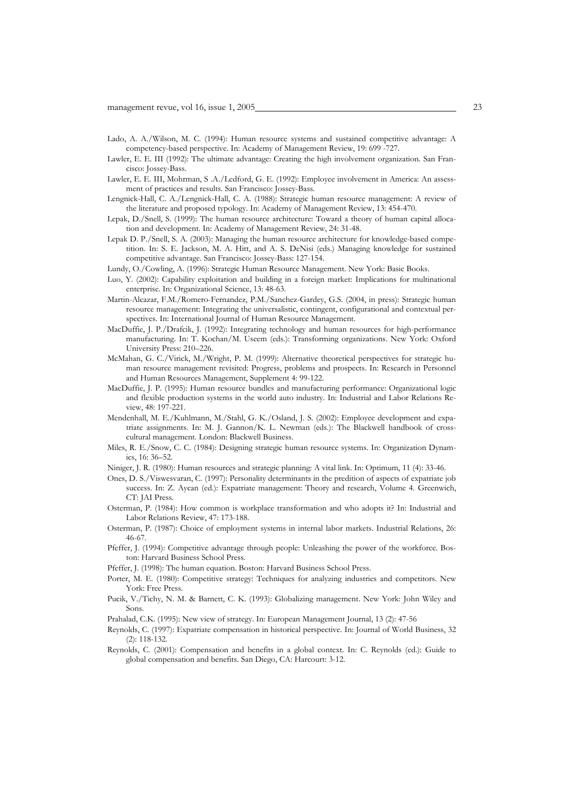- Lado, A. A./Wilson, M. C. (1994): Human resource systems and sustained competitive advantage: A competency-based perspective. In: Academy of Management Review, 19: 699 -727.
- Lawler, E. E. III (1992): The ultimate advantage: Creating the high involvement organization. San Francisco: Jossey-Bass.
- Lawler, E. E. III, Mohrman, S .A./Ledford, G. E. (1992): Employee involvement in America: An assessment of practices and results. San Francisco: Jossey-Bass.
- Lengnick-Hall, C. A./Lengnick-Hall, C. A. (1988): Strategic human resource management: A review of the literature and proposed typology. In: Academy of Management Review, 13: 454-470.
- Lepak, D./Snell, S. (1999): The human resource architecture: Toward a theory of human capital allocation and development. In: Academy of Management Review, 24: 31-48.
- Lepak D. P./Snell, S. A. (2003): Managing the human resource architecture for knowledge-based competition. In: S. E. Jackson, M. A. Hitt, and A. S. DeNisi (eds.) Managing knowledge for sustained competitive advantage. San Francisco: Jossey-Bass: 127-154.
- Lundy, O./Cowling, A. (1996): Strategic Human Resource Management. New York: Basic Books.
- Luo, Y. (2002): Capability exploitation and building in a foreign market: Implications for multinational enterprise. In: Organizational Science, 13: 48-63.
- Martin-Alcazar, F.M./Romero-Fernandez, P.M./Sanchez-Gardey, G.S. (2004, in press): Strategic human resource management: Integrating the universalistic, contingent, configurational and contextual perspectives. In: International Journal of Human Resource Management.
- MacDuffie, J. P./Drafcik, J. (1992): Integrating technology and human resources for high-performance manufacturing. In: T. Kochan/M. Useem (eds.): Transforming organizations. New York: Oxford University Press: 210–226.
- McMahan, G. C./Virick, M./Wright, P. M. (1999): Alternative theoretical perspectives for strategic human resource management revisited: Progress, problems and prospects. In: Research in Personnel and Human Resources Management, Supplement 4: 99-122.
- MacDuffie, J. P. (1995): Human resource bundles and manufacturing performance: Organizational logic and flexible production systems in the world auto industry. In: Industrial and Labor Relations Review, 48: 197-221.
- Mendenhall, M. E./Kuhlmann, M./Stahl, G. K./Osland, J. S. (2002): Employee development and expatriate assignments. In: M. J. Gannon/K. L. Newman (eds.): The Blackwell handbook of crosscultural management. London: Blackwell Business.
- Miles, R. E./Snow, C. C. (1984): Designing strategic human resource systems. In: Organization Dynamics, 16: 36–52.
- Niniger, J. R. (1980): Human resources and strategic planning: A vital link. In: Optimum, 11 (4): 33-46.
- Ones, D. S./Viswesvaran, C. (1997): Personality determinants in the predition of aspects of expatriate job success. In: Z. Aycan (ed.): Expatriate management: Theory and research, Volume 4. Greenwich, CT: JAI Press.
- Osterman, P. (1984): How common is workplace transformation and who adopts it? In: Industrial and Labor Relations Review, 47: 173-188.
- Osterman, P. (1987): Choice of employment systems in internal labor markets. Industrial Relations, 26: 46-67.
- Pfeffer, J. (1994): Competitive advantage through people: Unleashing the power of the workforce. Boston: Harvard Business School Press.
- Pfeffer, J. (1998): The human equation. Boston: Harvard Business School Press.
- Porter, M. E. (1980): Competitive strategy: Techniques for analyzing industries and competitors. New York: Free Press.
- Pucik, V./Tichy, N. M. & Barnett, C. K. (1993): Globalizing management. New York: John Wiley and Sons.
- Prahalad, C.K. (1995): New view of strategy. In: European Management Journal, 13 (2): 47-56
- Reynolds, C. (1997): Expatriate compensation in historical perspective. In: Journal of World Business, 32 (2): 118-132.
- Reynolds, C. (2001): Compensation and benefits in a global context. In: C. Reynolds (ed.): Guide to global compensation and benefits. San Diego, CA: Harcourt: 3-12.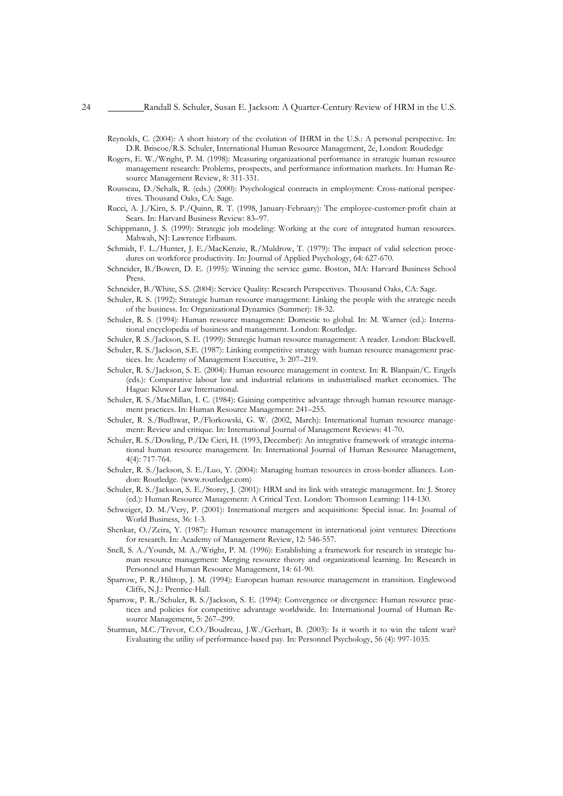- Reynolds, C. (2004): A short history of the evolution of IHRM in the U.S.: A personal perspective. In: D.R. Briscoe/R.S. Schuler, International Human Resource Management, 2e, London: Routledge
- Rogers, E. W./Wright, P. M. (1998): Measuring organizational performance in strategic human resource management research: Problems, prospects, and performance information markets. In: Human Resource Management Review, 8: 311-331.
- Rousseau, D./Schalk, R. (eds.) (2000): Psychological contracts in employment: Cross-national perspectives. Thousand Oaks, CA: Sage.
- Rucci, A. J./Kirn, S. P./Quinn, R. T. (1998, January-February): The employee-customer-profit chain at Sears. In: Harvard Business Review: 83–97.
- Schippmann, J. S. (1999): Strategic job modeling: Working at the core of integrated human resources. Mahwah, NJ: Lawrence Erlbaum.
- Schmidt, F. L./Hunter, J. E./MacKenzie, R./Muldrow, T. (1979): The impact of valid selection procedures on workforce productivity. In: Journal of Applied Psychology, 64: 627-670.
- Schneider, B./Bowen, D. E. (1995): Winning the service game. Boston, MA: Harvard Business School Press.
- Schneider, B./White, S.S. (2004): Service Quality: Research Perspectives. Thousand Oaks, CA: Sage.
- Schuler, R. S. (1992): Strategic human resource management: Linking the people with the strategic needs of the business. In: Organizational Dynamics (Summer): 18-32.
- Schuler, R. S. (1994): Human resource management: Domestic to global. In: M. Warner (ed.): International encyclopedia of business and management. London: Routledge.
- Schuler, R .S./Jackson, S. E. (1999): Strategic human resource management: A reader. London: Blackwell.
- Schuler, R. S./Jackson, S.E. (1987): Linking competitive strategy with human resource management practices. In: Academy of Management Executive, 3: 207–219.
- Schuler, R. S./Jackson, S. E. (2004): Human resource management in context. In: R. Blanpain/C. Engels (eds.): Comparative labour law and industrial relations in industrialised market economies. The Hague: Kluwer Law International.
- Schuler, R. S./MacMillan, I. C. (1984): Gaining competitive advantage through human resource management practices. In: Human Resource Management: 241–255.
- Schuler, R. S./Budhwar, P./Florkowski, G. W. (2002, March): International human resource management: Review and critique. In: International Journal of Management Reviews: 41-70.
- Schuler, R. S./Dowling, P./De Cieri, H. (1993, December): An integrative framework of strategic international human resource management. In: International Journal of Human Resource Management, 4(4): 717-764.
- Schuler, R. S./Jackson, S. E./Luo, Y. (2004): Managing human resources in cross-border alliances. London: Routledge. (www.routledge.com)
- Schuler, R. S./Jackson, S. E./Storey, J. (2001): HRM and its link with strategic management. In: J. Storey (ed.): Human Resource Management: A Critical Text. London: Thomson Learning: 114-130.
- Schweiger, D. M./Very, P. (2001): International mergers and acquisitions: Special issue. In: Journal of World Business, 36: 1-3.
- Shenkar, O./Zeira, Y. (1987): Human resource management in international joint ventures: Directions for research. In: Academy of Management Review, 12: 546-557.
- Snell, S. A./Youndt, M. A./Wright, P. M. (1996): Establishing a framework for research in strategic human resource management: Merging resource theory and organizational learning. In: Research in Personnel and Human Resource Management, 14: 61-90.
- Sparrow, P. R./Hiltrop, J. M. (1994): European human resource management in transition. Englewood Cliffs, N.J.: Prentice-Hall.
- Sparrow, P. R./Schuler, R. S./Jackson, S. E. (1994): Convergence or divergence: Human resource practices and policies for competitive advantage worldwide. In: International Journal of Human Resource Management, 5: 267–299.
- Sturman, M.C./Trevor, C.O./Boudreau, J.W./Gerhart, B. (2003): Is it worth it to win the talent war? Evaluating the utility of performance-based pay. In: Personnel Psychology, 56 (4): 997-1035.